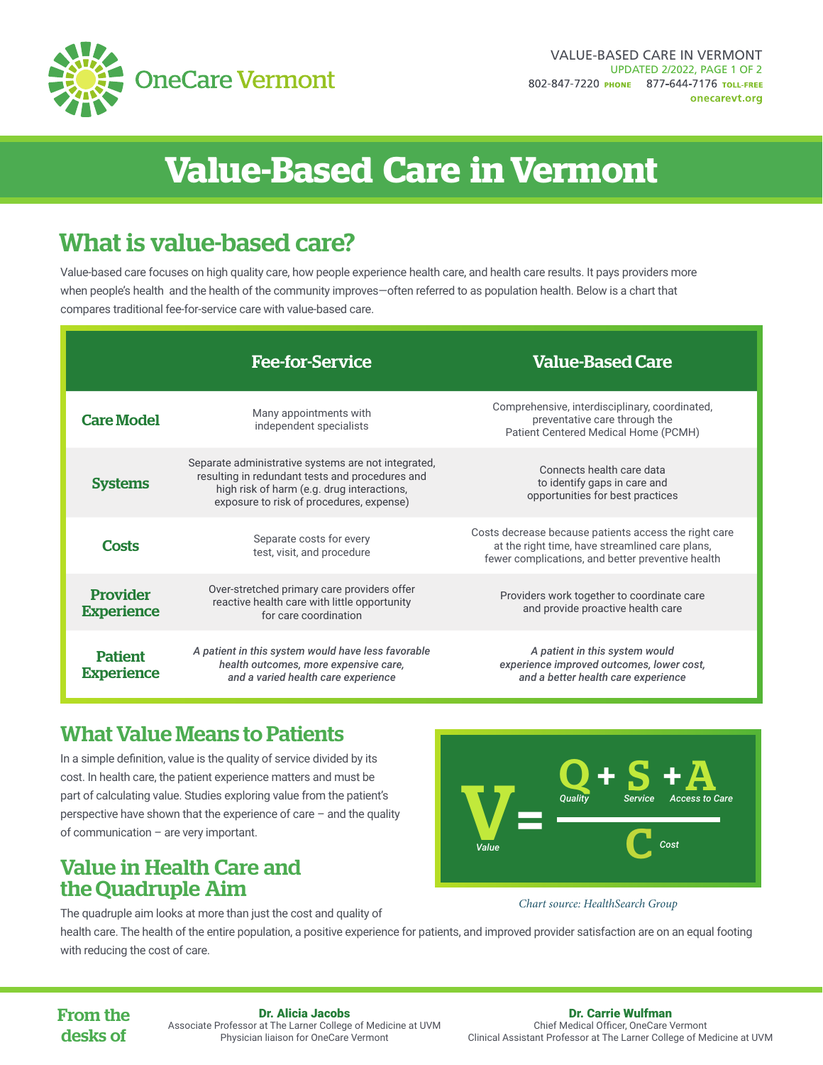

# **Value-Based Care in Vermont**

## What is value-based care?

Value-based care focuses on high quality care, how people experience health care, and health care results. It pays providers more when people's health and the health of the community improves—often referred to as population health. Below is a chart that compares traditional fee-for-service care with value-based care.

|                                      | <b>Fee-for-Service</b>                                                                                                                                                                           | <b>Value-Based Care</b>                                                                                                                                       |
|--------------------------------------|--------------------------------------------------------------------------------------------------------------------------------------------------------------------------------------------------|---------------------------------------------------------------------------------------------------------------------------------------------------------------|
| <b>Care Model</b>                    | Many appointments with<br>independent specialists                                                                                                                                                | Comprehensive, interdisciplinary, coordinated,<br>preventative care through the<br>Patient Centered Medical Home (PCMH)                                       |
| <b>Systems</b>                       | Separate administrative systems are not integrated,<br>resulting in redundant tests and procedures and<br>high risk of harm (e.g. drug interactions,<br>exposure to risk of procedures, expense) | Connects health care data<br>to identify gaps in care and<br>opportunities for best practices                                                                 |
| <b>Costs</b>                         | Separate costs for every<br>test, visit, and procedure                                                                                                                                           | Costs decrease because patients access the right care<br>at the right time, have streamlined care plans,<br>fewer complications, and better preventive health |
| <b>Provider</b><br><b>Experience</b> | Over-stretched primary care providers offer<br>reactive health care with little opportunity<br>for care coordination                                                                             | Providers work together to coordinate care<br>and provide proactive health care                                                                               |
| <b>Patient</b><br><b>Experience</b>  | A patient in this system would have less favorable<br>health outcomes, more expensive care,<br>and a varied health care experience                                                               | A patient in this system would<br>experience improved outcomes, lower cost,<br>and a better health care experience                                            |

## What Value Means to Patients

In a simple definition, value is the quality of service divided by its cost. In health care, the patient experience matters and must be part of calculating value. Studies exploring value from the patient's perspective have shown that the experience of care – and the quality of communication – are very important.

## Value in Health Care and the Quadruple Aim

The quadruple aim looks at more than just the cost and quality of



#### *Chart source: HealthSearch Group*

health care. The health of the entire population, a positive experience for patients, and improved provider satisfaction are on an equal footing with reducing the cost of care.

#### From the desks of

#### Dr. Alicia Jacobs

Associate Professor at The Larner College of Medicine at UVM Physician liaison for OneCare Vermont

Dr. Carrie Wulfman Chief Medical Officer, OneCare Vermont

Clinical Assistant Professor at The Larner College of Medicine at UVM